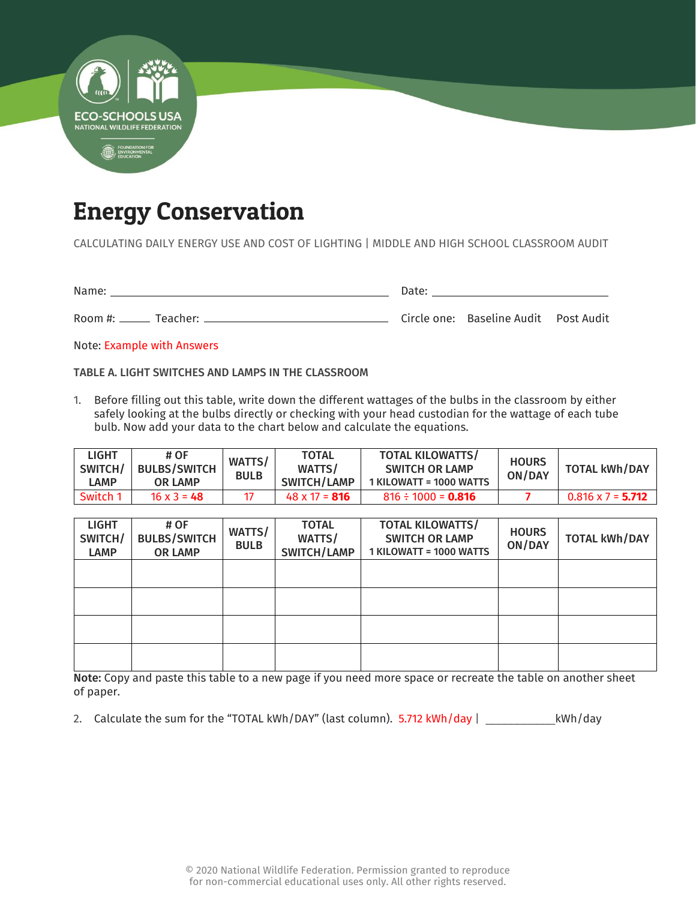

# Energy Conservation

CALCULATING DAILY ENERGY USE AND COST OF LIGHTING | MIDDLE AND HIGH SCHOOL CLASSROOM AUDIT

Name: Date:

Room #: Teacher: Circle one: Baseline Audit Post Audit

Note: Example with Answers

TABLE A. LIGHT SWITCHES AND LAMPS IN THE CLASSROOM

1. Before filling out this table, write down the different wattages of the bulbs in the classroom by either safely looking at the bulbs directly or checking with your head custodian for the wattage of each tube bulb. Now add your data to the chart below and calculate the equations.

| <b>LIGHT</b><br>SWITCH/<br>LAMP | # OF<br><b>BULBS/SWITCH</b><br><b>OR LAMP</b> | WATTS/<br><b>BULB</b> | <b>TOTAL</b><br>WATTS/<br>SWITCH/LAMP | <b>TOTAL KILOWATTS/</b><br><b>SWITCH OR LAMP</b><br>1 KILOWATT = 1000 WATTS | <b>HOURS</b><br>ON/DAY | <b>TOTAL kWh/DAY</b>     |
|---------------------------------|-----------------------------------------------|-----------------------|---------------------------------------|-----------------------------------------------------------------------------|------------------------|--------------------------|
| Switch 1                        | $16 \times 3 = 48$                            |                       | $48 \times 17 = 816$                  | $816 \div 1000 = 0.816$                                                     |                        | $0.816 \times 7 = 5.712$ |

| <b>LIGHT</b><br>SWITCH/<br><b>LAMP</b> | # OF<br><b>BULBS/SWITCH</b><br><b>OR LAMP</b> | WATTS/<br><b>BULB</b> | <b>TOTAL</b><br>WATTS/<br>SWITCH/LAMP | <b>TOTAL KILOWATTS/</b><br><b>SWITCH OR LAMP</b><br>1 KILOWATT = 1000 WATTS | <b>HOURS</b><br>ON/DAY | <b>TOTAL kWh/DAY</b> |
|----------------------------------------|-----------------------------------------------|-----------------------|---------------------------------------|-----------------------------------------------------------------------------|------------------------|----------------------|
|                                        |                                               |                       |                                       |                                                                             |                        |                      |
|                                        |                                               |                       |                                       |                                                                             |                        |                      |
|                                        |                                               |                       |                                       |                                                                             |                        |                      |
|                                        |                                               |                       |                                       |                                                                             |                        |                      |

Note: Copy and paste this table to a new page if you need more space or recreate the table on another sheet of paper.

2. Calculate the sum for the "TOTAL kWh/DAY" (last column). 5.712 kWh/day | \_\_\_\_\_\_\_\_\_\_\_\_\_\_kWh/day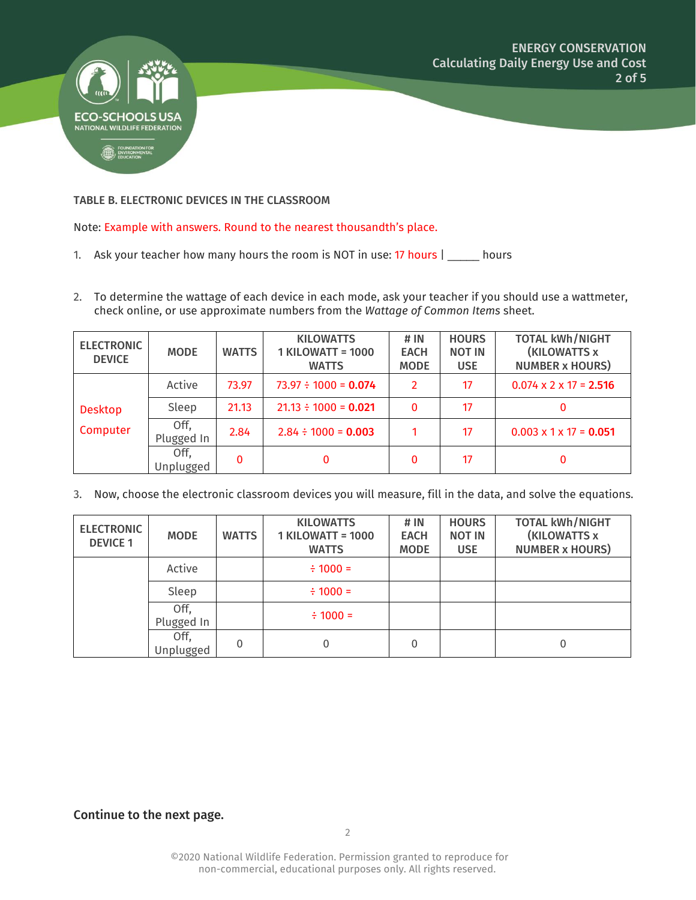

## TABLE B. ELECTRONIC DEVICES IN THE CLASSROOM

Note: Example with answers. Round to the nearest thousandth's place.

- 1. Ask your teacher how many hours the room is NOT in use: 17 hours  $|$  \_\_\_\_\_ hours
- 2. To determine the wattage of each device in each mode, ask your teacher if you should use a wattmeter, check online, or use approximate numbers from the *Wattage of Common Items* sheet.

| <b>ELECTRONIC</b><br><b>DEVICE</b> | <b>MODE</b>        | <b>WATTS</b> | <b>KILOWATTS</b><br><b>1 KILOWATT = 1000</b><br><b>WATTS</b> | # $IN$<br><b>EACH</b><br><b>MODE</b> | <b>HOURS</b><br><b>NOT IN</b><br><b>USE</b> | <b>TOTAL kWh/NIGHT</b><br><b>(KILOWATTS x)</b><br><b>NUMBER x HOURS)</b> |
|------------------------------------|--------------------|--------------|--------------------------------------------------------------|--------------------------------------|---------------------------------------------|--------------------------------------------------------------------------|
|                                    | Active             | 73.97        | $73.97 \div 1000 = 0.074$                                    | $\mathcal{P}$                        | 17                                          | $0.074 \times 2 \times 17 = 2.516$                                       |
| <b>Desktop</b>                     | Sleep              | 21.13        | $21.13 \div 1000 = 0.021$                                    | 0                                    | 17                                          | 0                                                                        |
| Computer                           | Off,<br>Plugged In | 2.84         | $2.84 \div 1000 = 0.003$                                     |                                      | 17                                          | $0.003 \times 1 \times 17 = 0.051$                                       |
|                                    | Off,<br>Unplugged  | 0            |                                                              | 0                                    | 17                                          | 0                                                                        |

3. Now, choose the electronic classroom devices you will measure, fill in the data, and solve the equations.

| <b>ELECTRONIC</b><br><b>DEVICE 1</b> | <b>MODE</b>        | <b>WATTS</b> | <b>KILOWATTS</b><br><b>1 KILOWATT = 1000</b><br><b>WATTS</b> | # $IN$<br><b>EACH</b><br><b>MODE</b> | <b>HOURS</b><br><b>NOT IN</b><br><b>USE</b> | <b>TOTAL kWh/NIGHT</b><br>(KILOWATTS x<br><b>NUMBER x HOURS)</b> |
|--------------------------------------|--------------------|--------------|--------------------------------------------------------------|--------------------------------------|---------------------------------------------|------------------------------------------------------------------|
|                                      | Active             |              | $\div$ 1000 =                                                |                                      |                                             |                                                                  |
|                                      | Sleep              |              | $\div$ 1000 =                                                |                                      |                                             |                                                                  |
|                                      | Off,<br>Plugged In |              | $\div$ 1000 =                                                |                                      |                                             |                                                                  |
|                                      | Off,<br>Unplugged  | 0            | 0                                                            | 0                                    |                                             | 0                                                                |

Continue to the next page.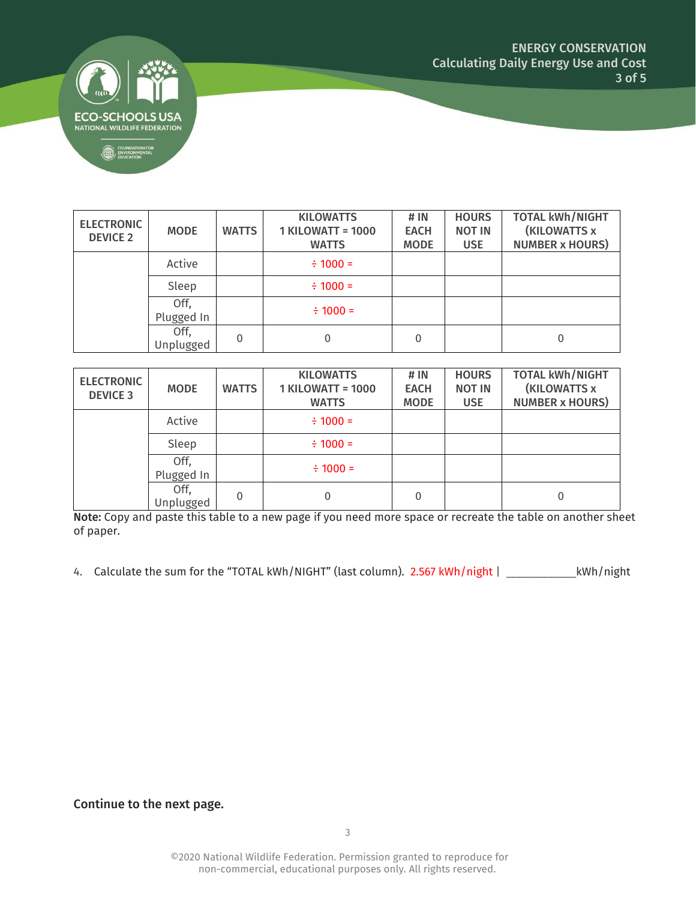

| <b>ELECTRONIC</b><br><b>DEVICE 2</b> | <b>MODE</b>        | <b>WATTS</b> | <b>KILOWATTS</b><br><b>1 KILOWATT = 1000</b><br><b>WATTS</b> | # IN<br><b>EACH</b><br><b>MODE</b> | <b>HOURS</b><br><b>NOT IN</b><br><b>USE</b> | <b>TOTAL kWh/NIGHT</b><br>(KILOWATTS x<br><b>NUMBER x HOURS)</b> |
|--------------------------------------|--------------------|--------------|--------------------------------------------------------------|------------------------------------|---------------------------------------------|------------------------------------------------------------------|
|                                      | Active             |              | $\div$ 1000 =                                                |                                    |                                             |                                                                  |
|                                      | Sleep              |              | $\div$ 1000 =                                                |                                    |                                             |                                                                  |
|                                      | Off,<br>Plugged In |              | $\div$ 1000 =                                                |                                    |                                             |                                                                  |
|                                      | Off,<br>Unplugged  | 0            | 0                                                            | 0                                  |                                             | 0                                                                |

**Contract** 

| <b>ELECTRONIC</b><br><b>DEVICE 3</b> | <b>MODE</b>        | <b>WATTS</b> | <b>KILOWATTS</b><br><b>1 KILOWATT = 1000</b><br><b>WATTS</b> | # $IN$<br><b>EACH</b><br><b>MODE</b> | <b>HOURS</b><br><b>NOT IN</b><br><b>USE</b> | <b>TOTAL kWh/NIGHT</b><br>(KILOWATTS x<br><b>NUMBER x HOURS)</b> |
|--------------------------------------|--------------------|--------------|--------------------------------------------------------------|--------------------------------------|---------------------------------------------|------------------------------------------------------------------|
|                                      | Active             |              | $\div$ 1000 =                                                |                                      |                                             |                                                                  |
|                                      | Sleep              |              | $\div$ 1000 =                                                |                                      |                                             |                                                                  |
|                                      | Off,<br>Plugged In |              | $\div$ 1000 =                                                |                                      |                                             |                                                                  |
|                                      | Off,<br>Unplugged  | 0            | 0                                                            | 0                                    |                                             | 0                                                                |

Note: Copy and paste this table to a new page if you need more space or recreate the table on another sheet of paper.

4. Calculate the sum for the "TOTAL kWh/NIGHT" (last column). 2.567 kWh/night | \_\_\_\_\_\_\_\_\_\_\_\_\_\_\_\_kWh/night

# Continue to the next page.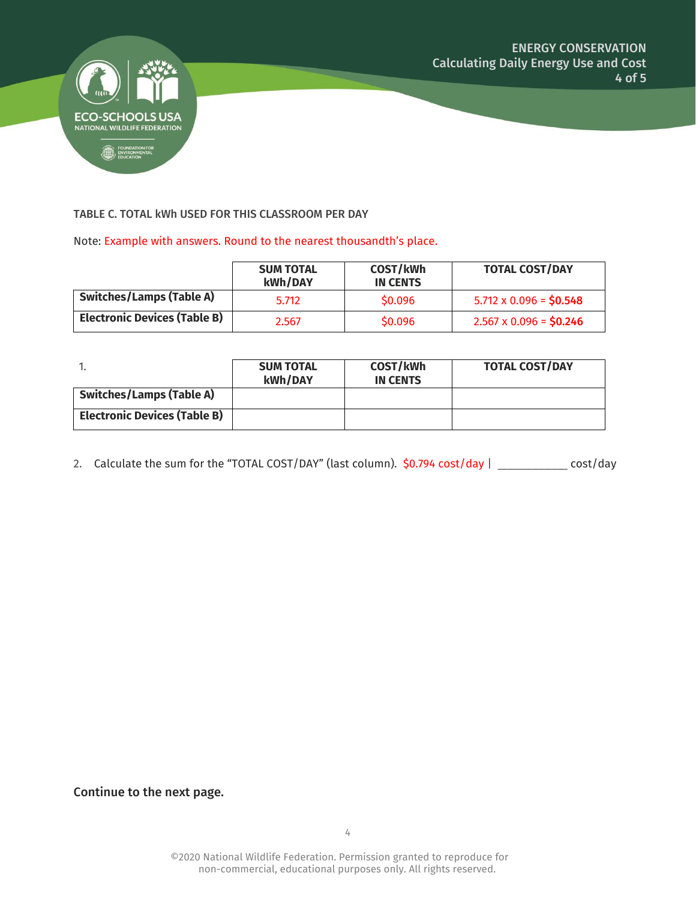

#### TABLE C. TOTAL kWh USED FOR THIS CLASSROOM PER DAY

Note: Example with answers. Round to the nearest thousandth's place.

|                                     | <b>SUM TOTAL</b><br>kWh/DAY | COST/kWh<br><b>IN CENTS</b> | <b>TOTAL COST/DAY</b>         |
|-------------------------------------|-----------------------------|-----------------------------|-------------------------------|
| Switches/Lamps (Table A)            | 5.712                       | \$0.096                     | $5.712 \times 0.096 = $0.548$ |
| <b>Electronic Devices (Table B)</b> | 2.567                       | \$0.096                     | $2.567 \times 0.096 = $0.246$ |

|                                     | <b>SUM TOTAL</b><br>kWh/DAY | COST/kWh<br><b>IN CENTS</b> | <b>TOTAL COST/DAY</b> |
|-------------------------------------|-----------------------------|-----------------------------|-----------------------|
| Switches/Lamps (Table A)            |                             |                             |                       |
| <b>Electronic Devices (Table B)</b> |                             |                             |                       |

2. Calculate the sum for the "TOTAL COST/DAY" (last column). \$0.794 cost/day | \_\_\_\_\_\_\_\_\_\_\_\_ cost/day

Continue to the next page.